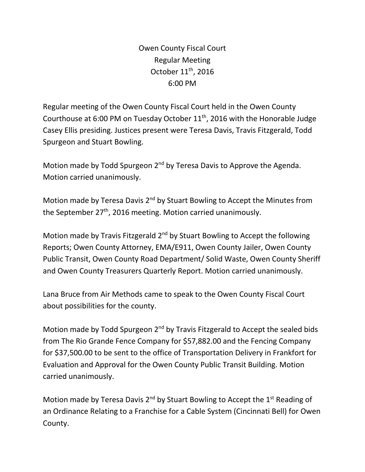Owen County Fiscal Court Regular Meeting October 11<sup>th</sup>, 2016 6:00 PM

Regular meeting of the Owen County Fiscal Court held in the Owen County Courthouse at 6:00 PM on Tuesday October 11<sup>th</sup>, 2016 with the Honorable Judge Casey Ellis presiding. Justices present were Teresa Davis, Travis Fitzgerald, Todd Spurgeon and Stuart Bowling.

Motion made by Todd Spurgeon 2<sup>nd</sup> by Teresa Davis to Approve the Agenda. Motion carried unanimously.

Motion made by Teresa Davis 2<sup>nd</sup> by Stuart Bowling to Accept the Minutes from the September 27<sup>th</sup>, 2016 meeting. Motion carried unanimously.

Motion made by Travis Fitzgerald 2<sup>nd</sup> by Stuart Bowling to Accept the following Reports; Owen County Attorney, EMA/E911, Owen County Jailer, Owen County Public Transit, Owen County Road Department/ Solid Waste, Owen County Sheriff and Owen County Treasurers Quarterly Report. Motion carried unanimously.

Lana Bruce from Air Methods came to speak to the Owen County Fiscal Court about possibilities for the county.

Motion made by Todd Spurgeon 2<sup>nd</sup> by Travis Fitzgerald to Accept the sealed bids from The Rio Grande Fence Company for \$57,882.00 and the Fencing Company for \$37,500.00 to be sent to the office of Transportation Delivery in Frankfort for Evaluation and Approval for the Owen County Public Transit Building. Motion carried unanimously.

Motion made by Teresa Davis 2<sup>nd</sup> by Stuart Bowling to Accept the 1<sup>st</sup> Reading of an Ordinance Relating to a Franchise for a Cable System (Cincinnati Bell) for Owen County.